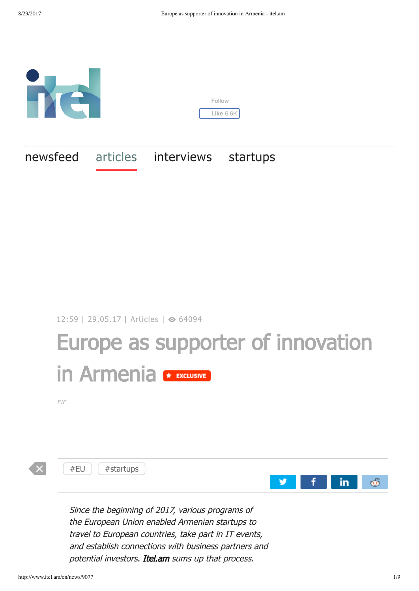

# [newsfeed](http://www.itel.am/en#newsfeed) [articles](http://www.itel.am/en#articles) [interviews](http://www.itel.am/en#interviews) [startups](http://www.itel.am/en#startups)

12:59 | 29.05.17 | Articles | **◎** 64094

# Europe as supporter of innovation in Armenia \* EXCLUSIVE

EIF

 $#EU$   $# starts$ 

in ౘ

Since the beginning of 2017, various programs of the European Union enabled Armenian startups to travel to European countries, take part in IT events, and establish connections with business partners and potential investors. Itel.am sums up that process.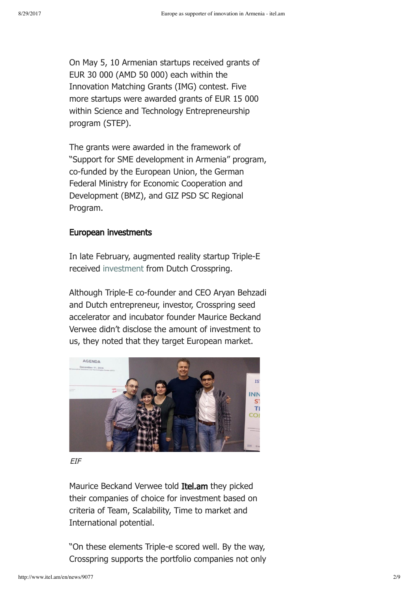On May 5, 10 Armenian startups received grants of EUR 30 000 (AMD 50 000) each within the Innovation Matching Grants (IMG) contest. Five more startups were awarded grants of EUR 15 000 within Science and Technology Entrepreneurship program (STEP).

The grants were awarded in the framework of "Support for SME development in Armenia" program, co-funded by the European Union, the German Federal Ministry for Economic Cooperation and Development (BMZ), and GIZ PSD SC Regional Program.

# European investments

In late February, augmented reality startup Triple-E received [investment](http://www.itel.am/en/news/8821) from Dutch Crosspring.

Although Triple-E co-founder and CEO Aryan Behzadi and Dutch entrepreneur, investor, Crosspring seed accelerator and incubator founder Maurice Beckand Verwee didn't disclose the amount of investment to us, they noted that they target European market.



EIF

Maurice Beckand Verwee told Itel.am they picked their companies of choice for investment based on criteria of Team, Scalability, Time to market and International potential.

"On these elements Triple-e scored well. By the way, Crosspring supports the portfolio companies not only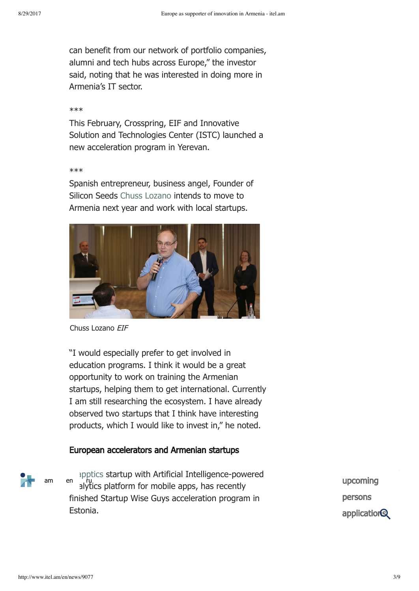can benefit from our network of portfolio companies, alumni and tech hubs across Europe," the investor said, noting that he was interested in doing more in Armenia's IT sector.

\*\*\*

This February, Crosspring, EIF and Innovative Solution and Technologies Center (ISTC) launched a new acceleration program in Yerevan.

\*\*\*

Spanish entrepreneur, business angel, Founder of Silicon Seeds [Chuss Lozano](http://www.itel.am/en/news/9033) intends to move to Armenia next year and work with local startups.



Chuss Lozano EIF

"I would especially prefer to get involved in education programs. I think it would be a great opportunity to work on training the Armenian startups, helping them to get international. Currently I am still researching the ecosystem. I have already observed two startups that I think have interesting products, which I would like to invest in," he noted.

## European accelerators and Armenian startups

[In](http://www.itel.am/en/news/9077)[a](http://www.itel.am/en/news/9061)[ppti](http://www.itel.am/ru/news/9077)[cs](http://www.itel.am/en/news/9061) startup with Artificial Intelligence-powered  $\overline{a}$  alytics platform for mobile apps, has recently finished Startup Wise Guys acceleration program in Estonia.  $\sum_{i=1}^{\infty}$  en  $\sum_{i=1}^{\infty}$  states for  $\sum_{i=1}^{\infty}$  is a set of  $\sum_{i=1}^{\infty}$  en  $\sum_{i=1}^{\infty}$  upcoming

persons applications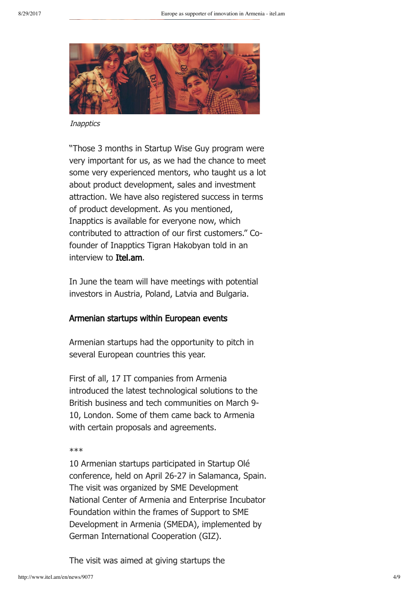

**Inapptics** 

"Those 3 months in Startup Wise Guy program were very important for us, as we had the chance to meet some very experienced mentors, who taught us a lot about product development, sales and investment attraction. We have also registered success in terms of product development. As you mentioned, Inapptics is available for everyone now, which contributed to attraction of our first customers." Cofounder of Inapptics Tigran Hakobyan told in an interview to Itel.am.

In June the team will have meetings with potential investors in Austria, Poland, Latvia and Bulgaria.

# Armenian startups within European events

Armenian startups had the opportunity to pitch in several European countries this year.

First of all, 17 IT companies from Armenia introduced the latest technological solutions to the British business and tech communities on March 9 10, London. Some of them came back to Armenia with certain proposals and agreements.

\*\*\*

10 Armenian startups participated in Startup Olé conference, held on April 26-27 in Salamanca, Spain. The visit was organized by SME Development National Center of Armenia and Enterprise Incubator Foundation within the frames of Support to SME Development in Armenia (SMEDA), implemented by German International Cooperation (GIZ).

The visit was aimed at giving startups the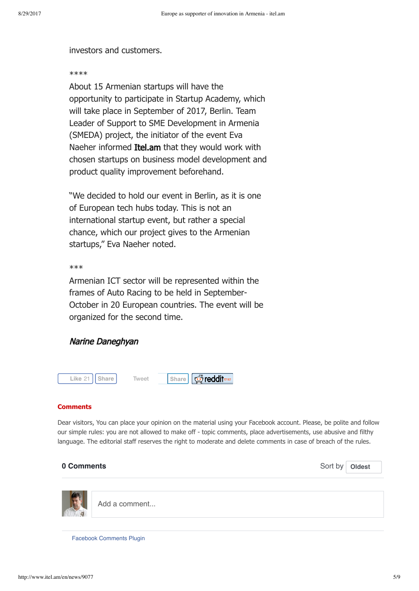### investors and customers.

#### \*\*\*\*

About 15 Armenian startups will have the opportunity to participate in Startup Academy, which will take place in September of 2017, Berlin. Team Leader of Support to SME Development in Armenia (SMEDA) project, the initiator of the event Eva Naeher informed Itel.am that they would work with chosen startups on business model development and product quality improvement beforehand.

"We decided to hold our event in Berlin, as it is one of European tech hubs today. This is not an international startup event, but rather a special chance, which our project gives to the Armenian startups," Eva Naeher noted.

\*\*\*

Armenian ICT sector will be represented within the frames of Auto Racing to be held in September-October in 20 European countries. The event will be organized for the second time.

# Narine Daneghyan



#### **Comments**

Dear visitors, You can place your opinion on the material using your Facebook account. Please, be polite and follow our simple rules: you are not allowed to make off - topic comments, place advertisements, use abusive and filthy language. The editorial staff reserves the right to moderate and delete comments in case of breach of the rules.

#### **0 Comments** Sort by

**Oldest**



Add a comment...

[Facebook Comments Plugin](https://developers.facebook.com/docs/plugins/comments/?utm_campaign=social_plugins&utm_medium=offsite_pages&utm_source=comments_plugin)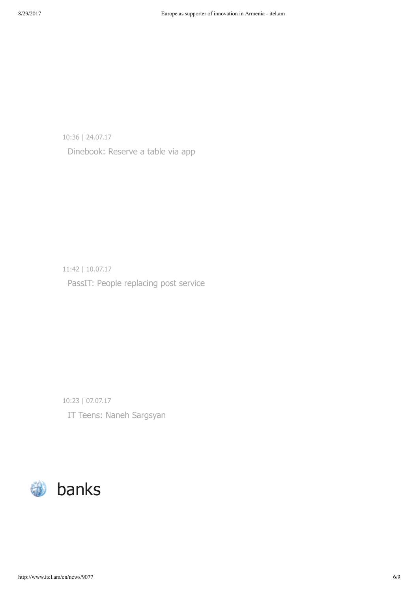10:36 | 24.07.17

Dinebook: Reserve a table via app

11:42 | 10.07.17 PassIT: People replacing post service

10:23 | 07.07.17 IT Teens: Naneh Sargsyan

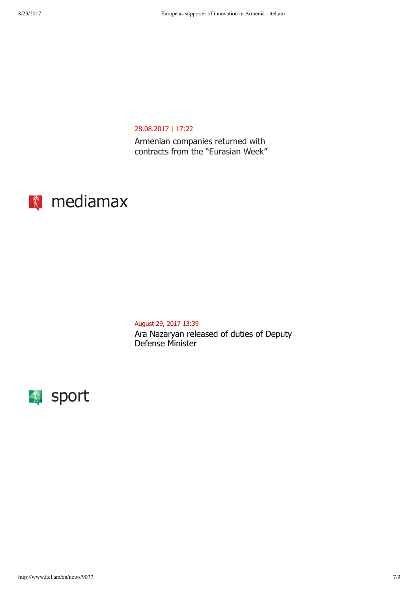28.08.2017 | 17:22

Armenian companies returned with contracts from the "Eurasian Week"

# **R** mediamax

August 29, 2017 13:39

[Ara Nazaryan released of duties of Deputy](http://www.mediamax.am/en/news/armypolice/24845/?utm_source=mediamax.am&utm_medium=widget_300x300&utm_campaign=partnership) Defense Minister